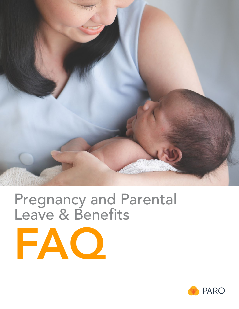

# Pregnancy and Parental Leave & Benefits

FAQ

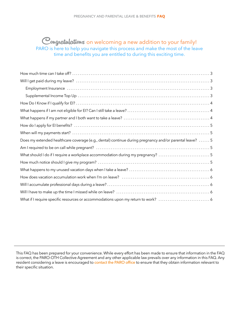# <span id="page-1-0"></span>Congratulations on welcoming a new addition to your family! PARO is here to help you navigate this process and make the most of the leave time and benefits you are entitled to during this exciting time.

| Does my extended healthcare coverage (e.g., dental) continue during pregnancy and/or parental leave?  5 |
|---------------------------------------------------------------------------------------------------------|
|                                                                                                         |
| What should I do if I require a workplace accommodation during my pregnancy?  5                         |
|                                                                                                         |
|                                                                                                         |
|                                                                                                         |
|                                                                                                         |
|                                                                                                         |
| What if I require specific resources or accommodations upon my return to work?  6                       |

This FAQ has been prepared for your convenience. While every effort has been made to ensure that information in the FAQ is correct, the PARO-OTH Collective Agreement and any other applicable law prevails over any information in this FAQ. Any resident considering a leave is encouraged to [contact the PARO office](mailto:paro@paroteam.ca) to ensure that they obtain information relevant to their specific situation.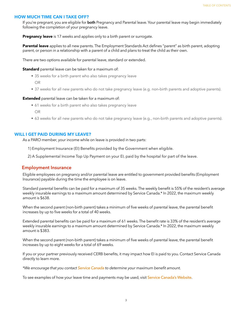#### <span id="page-2-0"></span>**HOW MUCH TIME CAN I TAKE OFF?**

If you're pregnant, you are eligible for **both** Pregnancy and Parental leave. Your parental leave may begin immediately following the completion of your pregnancy leave.

**Pregnancy leave** is 17 weeks and applies only to a birth parent or surrogate.

Parental leave applies to all new parents. The Employment Standards Act defines "parent" as birth parent, adopting parent, or person in a relationship with a parent of a child and plans to treat the child as their own.

There are two options available for parental leave, standard or extended.

#### **Standard** parental leave can be taken for a maximum of:

- 35 weeks for a birth parent who also takes pregnancy leave
	- OR
- 37 weeks for all new parents who do not take pregnancy leave (e.g. non-birth parents and adoptive parents).

#### **Extended** parental leave can be taken for a maximum of:

- 61 weeks for a birth parent who also takes pregnancy leave OR
- 63 weeks for all new parents who do not take pregnancy leave (e.g., non-birth parents and adoptive parents).

#### **WILL I GET PAID DURING MY LEAVE?**

As a PARO member, your income while on leave is provided in two parts:

- 1) Employment Insurance (EI) Benefits provided by the Government when eligible.
- 2) A Supplemental Income Top Up Payment on your EI, paid by the hospital for part of the leave.

#### **Employment Insurance**

Eligible employees on pregnancy and/or parental leave are entitled to government provided benefits (Employment Insurance) payable during the time the employee is on leave.

Standard parental benefits can be paid for a maximum of 35 weeks. The weekly benefit is 55% of the resident's average weekly insurable earnings to a maximum amount determined by Service Canada.\* In 2022, the maximum weekly amount is \$638.

When the second parent (non-birth parent) takes a minimum of five weeks of parental leave, the parental benefit increases by up to five weeks for a total of 40 weeks.

Extended parental benefits can be paid for a maximum of 61 weeks. The benefit rate is 33% of the resident's average weekly insurable earnings to a maximum amount determined by Service Canada.\* In 2022, the maximum weekly amount is \$383.

When the second parent (non-birth parent) takes a minimum of five weeks of parental leave, the parental benefit increases by up to eight weeks for a total of 69 weeks.

If you or your partner previously received CERB benefits, it may impact how EI is paid to you. Contact Service Canada directly to learn more.

*\*We encourage that you contact [Service Canada](http://www.servicecanada.gc.ca/) to determine your maximum benefit amount.* 

To see examples of how your leave time and payments may be used, visit [Service Canada's Website](https://www.canada.ca/en/services/benefits/ei/ei-maternity-parental.html).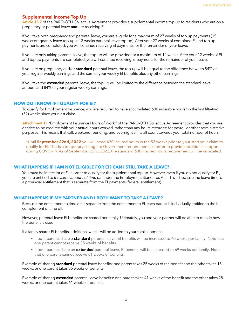# <span id="page-3-0"></span>**Supplemental Income Top Up**

[Article 15.7](https://myparo.ca/your-contract/) of the PARO-OTH Collective Agreement provides a supplemental income top-up to residents who are on a pregnancy or parental leave and are receiving EI.

If you take both pregnancy and parental leave, you are eligible for a maximum of 27 weeks of top up payments (15 weeks pregnancy leave top-up + 12 weeks parental leave top-up). After your 27 weeks of combined EI and top up payments are completed, you will continue receiving EI payments for the remainder of your leave.

If you are only taking parental leave, the top-up will be provided for a maximum of 12 weeks. After your 12 weeks of EI and top up payments are completed, you will continue receiving EI payments for the remainder of your leave.

If you are on pregnancy and/or **standard** parental leave, the top-up will be equal to the difference between 84% of your regular weekly earnings and the sum of your weekly EI benefits plus any other earnings.

If you take the extended parental leave, the top-up will be limited to the difference between the standard leave amount and 84% of your regular weekly earnings.

#### **HOW DO I KNOW IF I QUALIFY FOR EI?**

To qualify for Employment Insurance, you are required to have accumulated 600 insurable hours\* in the last fifty-two (52) weeks since your last claim.

Attachment 11 "Employment Insurance Hours of Work," of the PARO-OTH Collective Agreement provides that you are entitled to be credited with your **actual** hours worked, rather than any hours recorded for payroll or other administrative purposes. This means that call, weekend rounding, and overnight shifts all count towards your total number of hours.

\*Until **September 22nd, 2022** you will need 420 insured hours in the 52 weeks prior to your start your claim to qualify for EI. This is a temporary change to Government requirements in order to provide additional support during COVID-19. As of September 23rd, 2022, the standard 600 insured hours requirement will be reinstated.

# **WHAT HAPPENS IF I AM NOT ELIGIBLE FOR EI? CAN I STILL TAKE A LEAVE?**

You must be in receipt of EI in order to qualify for the supplemental top up. However, even if you do not qualify for EI, you are entitled to *the same amount of time off* under the Employment Standards Act. This is because the leave time is a provincial entitlement that is separate from the EI payments (federal entitlement).

## **WHAT HAPPENS IF MY PARTNER AND I BOTH WANT TO TAKE A LEAVE?**

Because the entitlement to time off is separate from the entitlement to EI, each parent is individually entitled to the full complement of time off.

However, parental leave EI benefits are shared per family. Ultimately, you and your partner will be able to decide how the benefit is used.

If a family shares EI benefits, additional weeks will be added to your total allotment.

- If both parents share a **standard** parental leave, EI benefits will be increased to 40 weeks per family. Note that one parent cannot receive 35 weeks of benefits.
- If both parents share an **extended** parental leave, EI benefits will be increased to 69 weeks per family. Note that one parent cannot receive 61 weeks of benefits.

Example of sharing **standard** parental leave benefits: one parent takes 25 weeks of the benefit and the other takes 15 weeks, or one parent takes 35 weeks of benefits.

Example of sharing **extended** parental leave benefits: one parent takes 41 weeks of the benefit and the other takes 28 weeks, or one parent takes 61 weeks of benefits.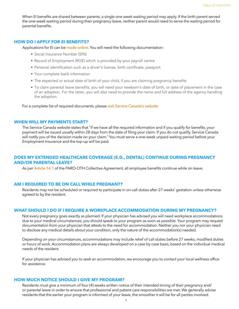<span id="page-4-0"></span>When EI benefits are shared between parents, a single one-week waiting period may apply. If the birth parent served the one-week waiting period during their pregnancy leave, neither parent would need to serve the waiting period for parental benefits.

#### **HOW DO I APPLY FOR EI BENEFITS?**

Applications for EI can be [made online](http://www.servicecanada.gc.ca/). You will need the following documentation:

- Social Insurance Number (SIN)
- Record of Employment (ROE) which is provided by your payroll centre
- Personal identification such as a driver's license, birth certificate, passport
- Your complete bank information
- The expected or actual date of birth of your child, if you are claiming pregnancy benefits
- To claim parental leave benefits, you will need your newborn's date of birth, or date of placement in the case of an adoption. For the latter, you will also need to provide the name and full address of the agency handling the adoption.

For a complete list of required documents, please visit Service Canada's website

#### **WHEN WILL MY PAYMENTS START?**

The Service Canada website states that "if we have all the required information and if you qualify for benefits, your payment will be issued usually within 28 days from the date of filing your claim. If you do not qualify, Service Canada will notify you of the decision made on your claim." You must serve a one-week unpaid waiting period before your Employment Insurance and the top-up will be paid.

## **DOES MY EXTENDED HEALTHCARE COVERAGE (E.G., DENTAL) CONTINUE DURING PREGNANCY AND/OR PARENTAL LEAVE?**

As per **Article 14.1** of the PARO-OTH Collective Agreement, all employee benefits continue while on leave.

#### **AM I REQUIRED TO BE ON CALL WHILE PREGNANT?**

Residents may not be scheduled or required to participate in on-call duties after 27 weeks' gestation unless otherwise agreed to by the resident.

#### **WHAT SHOULD I DO IF I REQUIRE A WORKPLACE ACCOMMODATION DURING MY PREGNANCY?**

Not every pregnancy goes exactly as planned. If your physician has advised you will need workplace accommodations due to your medical circumstances, you should speak to your program as soon as possible. Your program may request documentation from your physician that attests to the need for accommodation. Neither you nor your physician need to disclose any medical details about your condition, only the nature of the accommodation(s) needed.

Depending on your circumstances, accommodations may include relief of call duties before 27 weeks, modified duties or hours of work. Accommodation plans are always developed on a case by case basis, based on the individual medical needs of the resident.

If your physician has advised you to seek an accommodation, we encourage you to contact your local wellness office for assistance.

# **HOW MUCH NOTICE SHOULD I GIVE MY PROGRAM?**

Residents must give a minimum of four (4) weeks written notice of their intended timing of their pregnancy and/ or parental leave in order to ensure that professional and patient care responsibilities are met. We generally advise residents that the earlier your program is informed of your leave, the smoother it will be for all parties involved.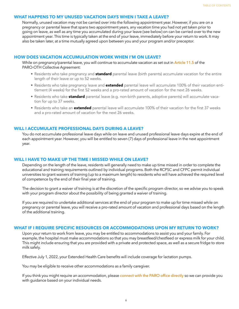# <span id="page-5-0"></span>**WHAT HAPPENS TO MY UNUSED VACATION DAYS WHEN I TAKE A LEAVE?**

Normally, unused vacation may not be carried over into the following appointment year. However, if you are on a pregnancy or parental leave that spans two appointment years, any vacation time you had not yet taken prior to going on leave, as well as any time you accumulated during your leave (see below) on can be carried over to the new appointment year. This time is typically taken at the end of your leave, immediately before your return to work. It may also be taken later, at a time mutually agreed upon between you and your program and/or preceptor.

#### **HOW DOES VACATION ACCUMULATION WORK WHEN I'M ON LEAVE?**

While on pregnancy/parental leave, you will continue to accumulate vacation as set out in Article 11.5 of the PARO-OTH Collective Agreement:

- Residents who take pregnancy and **standard** parental leave (birth parents) accumulate vacation for the entire length of their leave or up to 52 weeks.
- Residents who take pregnancy leave and **extended** parental leave will accumulate 100% of their vacation entitlement (4 weeks) for the first 52 weeks and a pro-rated amount of vacation for the next 26 weeks.
- Residents who take **standard** parental leave (e.g. non-birth parents, adoptive parents) will accumulate vacation for up to 37 weeks.
- Residents who take an **extended** parental leave will accumulate 100% of their vacation for the first 37 weeks and a pro-rated amount of vacation for the next 26 weeks.

#### **WILL I ACCUMULATE PROFESSIONAL DAYS DURING A LEAVE?**

You do not accumulate professional leave days while on leave and unused professional leave days expire at the end of each appointment year. However, you will be entitled to seven (7) days of professional leave in the next appointment year.

#### **WILL I HAVE TO MAKE UP THE TIME I MISSED WHILE ON LEAVE?**

Depending on the length of the leave, residents will generally need to make up time missed in order to complete the educational and training requirements outlined by individual programs. Both the RCPSC and CFPC permit individual universities to grant waivers of training (up to a maximum length) to residents who will have achieved the required level of competence by the end of their final year of training.

The decision to grant a waiver of training is at the discretion of the specific program director, so we advise you to speak with your program director about the possibility of being granted a waiver of training.

If you are required to undertake additional services at the end of your program to make up for time missed while on pregnancy or parental leave, you will receive a pro-rated amount of vacation and professional days based on the length of the additional training.

#### **WHAT IF I REQUIRE SPECIFIC RESOURCES OR ACCOMMODATIONS UPON MY RETURN TO WORK?**

Upon your return to work from leave, you may be entitled to accommodations to assist you and your family. For example, the hospital must make accommodations so that you may breastfeed/chestfeed or express milk for your child. This might include ensuring that you are provided with a private and protected space, as well as a secure fridge to store milk safely.

Effective July 1, 2022, your Extended Health Care benefits will include coverage for lactation pumps.

You may be eligible to receive other accommodations as a family caregiver.

If you think you might require an accommodation, please [connect with the PARO office directly](mailto:paro@paroteam.ca) so we can provide you with guidance based on your individual needs.